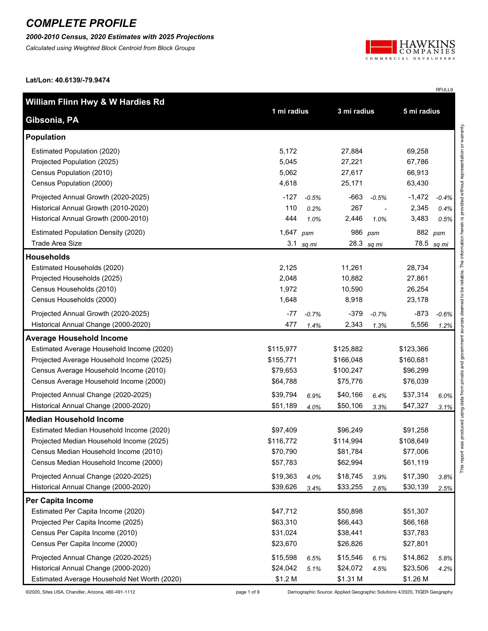*2000-2010 Census, 2020 Estimates with 2025 Projections*

*Calculated using Weighted Block Centroid from Block Groups*



RFULL9

**Lat/Lon: 40.6139/-79.9474**

| William Flinn Hwy & W Hardies Rd             |             |             | 3 mi radius |            |             |         |
|----------------------------------------------|-------------|-------------|-------------|------------|-------------|---------|
| Gibsonia, PA                                 |             | 1 mi radius |             |            | 5 mi radius |         |
| <b>Population</b>                            |             |             |             |            |             |         |
| Estimated Population (2020)                  | 5,172       |             | 27,884      |            | 69,258      |         |
| Projected Population (2025)                  | 5,045       |             | 27,221      |            | 67,786      |         |
| Census Population (2010)                     | 5,062       |             | 27,617      |            | 66,913      |         |
| Census Population (2000)                     | 4,618       |             | 25,171      |            | 63,430      |         |
| Projected Annual Growth (2020-2025)          | $-127$      | $-0.5%$     | $-663$      | $-0.5%$    | $-1,472$    | $-0.4%$ |
| Historical Annual Growth (2010-2020)         | 110         | 0.2%        | 267         |            | 2,345       | 0.4%    |
| Historical Annual Growth (2000-2010)         | 444         | 1.0%        | 2,446       | 1.0%       | 3,483       | 0.5%    |
| <b>Estimated Population Density (2020)</b>   | 1,647 $psm$ |             | 986         | psm        |             | 882 psm |
| Trade Area Size                              | 3.1         | sq mi       |             | 28.3 sq mi | 78.5        | sq mi   |
| <b>Households</b>                            |             |             |             |            |             |         |
| Estimated Households (2020)                  | 2,125       |             | 11,261      |            | 28,734      |         |
| Projected Households (2025)                  | 2,048       |             | 10,882      |            | 27,861      |         |
| Census Households (2010)                     | 1,972       |             | 10,590      |            | 26,254      |         |
| Census Households (2000)                     | 1,648       |             | 8,918       |            | 23,178      |         |
| Projected Annual Growth (2020-2025)          | $-77$       | $-0.7%$     | $-379$      | $-0.7%$    | $-873$      | $-0.6%$ |
| Historical Annual Change (2000-2020)         | 477         | 1.4%        | 2,343       | 1.3%       | 5,556       | 1.2%    |
| <b>Average Household Income</b>              |             |             |             |            |             |         |
| Estimated Average Household Income (2020)    | \$115,977   |             | \$125,882   |            | \$123,366   |         |
| Projected Average Household Income (2025)    | \$155,771   |             | \$166,048   |            | \$160,681   |         |
| Census Average Household Income (2010)       | \$79,653    |             | \$100,247   |            | \$96,299    |         |
| Census Average Household Income (2000)       | \$64,788    |             | \$75,776    |            | \$76,039    |         |
| Projected Annual Change (2020-2025)          | \$39,794    | 6.9%        | \$40,166    | 6.4%       | \$37,314    | 6.0%    |
| Historical Annual Change (2000-2020)         | \$51,189    | 4.0%        | \$50,106    | 3.3%       | \$47,327    | 3.1%    |
| <b>Median Household Income</b>               |             |             |             |            |             |         |
| Estimated Median Household Income (2020)     | \$97,409    |             | \$96,249    |            | \$91,258    |         |
| Projected Median Household Income (2025)     | \$116,772   |             | \$114,994   |            | \$108,649   |         |
| Census Median Household Income (2010)        | \$70,790    |             | \$81,784    |            | \$77,006    |         |
| Census Median Household Income (2000)        | \$57,783    |             | \$62,994    |            | \$61,119    |         |
| Projected Annual Change (2020-2025)          | \$19,363    | 4.0%        | \$18,745    | 3.9%       | \$17,390    | 3.8%    |
| Historical Annual Change (2000-2020)         | \$39,626    | 3.4%        | \$33,255    | 2.6%       | \$30,139    | 2.5%    |
| <b>Per Capita Income</b>                     |             |             |             |            |             |         |
| Estimated Per Capita Income (2020)           | \$47,712    |             | \$50,898    |            | \$51,307    |         |
| Projected Per Capita Income (2025)           | \$63,310    |             | \$66,443    |            | \$66,168    |         |
| Census Per Capita Income (2010)              | \$31,024    |             | \$38,441    |            | \$37,783    |         |
| Census Per Capita Income (2000)              | \$23,670    |             | \$26,826    |            | \$27,801    |         |
| Projected Annual Change (2020-2025)          | \$15,598    | 6.5%        | \$15,546    | 6.1%       | \$14,862    | 5.8%    |
| Historical Annual Change (2000-2020)         | \$24,042    | 5.1%        | \$24,072    | 4.5%       | \$23,506    | 4.2%    |
| Estimated Average Household Net Worth (2020) | \$1.2 M     |             | \$1.31 M    |            | \$1.26 M    |         |

©2020, Sites USA, Chandler, Arizona, 480-491-1112 page 1 of 9 Demographic Source: Applied Geographic Solutions 4/2020, TIGER Geography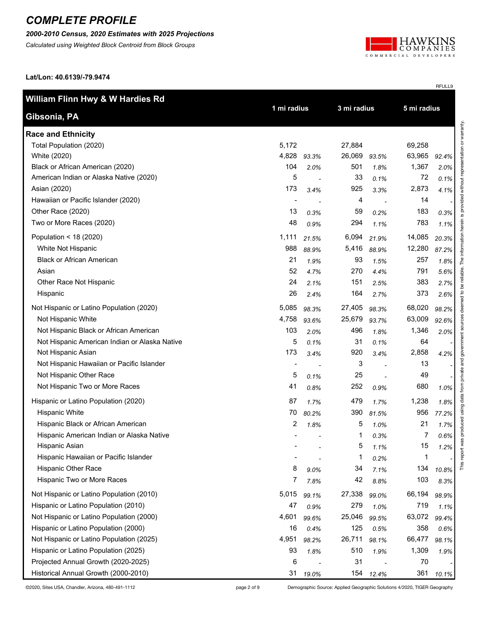*2000-2010 Census, 2020 Estimates with 2025 Projections*

*Calculated using Weighted Block Centroid from Block Groups*



RFULL9

**Lat/Lon: 40.6139/-79.9474**

| William Flinn Hwy & W Hardies Rd              |                |       |             |       |                |       |                            |
|-----------------------------------------------|----------------|-------|-------------|-------|----------------|-------|----------------------------|
| Gibsonia, PA                                  | 1 mi radius    |       | 3 mi radius |       | 5 mi radius    |       |                            |
| <b>Race and Ethnicity</b>                     |                |       |             |       |                |       | representation or warranty |
| Total Population (2020)                       | 5,172          |       | 27,884      |       | 69,258         |       |                            |
| White (2020)                                  | 4,828          | 93.3% | 26,069      | 93.5% | 63,965         | 92.4% |                            |
| Black or African American (2020)              | 104            | 2.0%  | 501         | 1.8%  | 1,367          | 2.0%  |                            |
| American Indian or Alaska Native (2020)       | 5              |       | 33          | 0.1%  | 72             | 0.1%  |                            |
| Asian (2020)                                  | 173            | 3.4%  | 925         | 3.3%  | 2,873          | 4.1%  | without                    |
| Hawaiian or Pacific Islander (2020)           | $\blacksquare$ |       | 4           |       | 14             |       |                            |
| Other Race (2020)                             | 13             | 0.3%  | 59          | 0.2%  | 183            | 0.3%  | is provided                |
| Two or More Races (2020)                      | 48             | 0.9%  | 294         | 1.1%  | 783            | 1.1%  | herein                     |
| Population < 18 (2020)                        | 1,111          | 21.5% | 6,094       | 21.9% | 14,085         | 20.3% | information                |
| White Not Hispanic                            | 988            | 88.9% | 5,416       | 88.9% | 12,280         | 87.2% |                            |
| <b>Black or African American</b>              | 21             | 1.9%  | 93          | 1.5%  | 257            | 1.8%  | The                        |
| Asian                                         | 52             | 4.7%  | 270         | 4.4%  | 791            | 5.6%  | reliable.                  |
| Other Race Not Hispanic                       | 24             | 2.1%  | 151         | 2.5%  | 383            | 2.7%  | Ъe                         |
| Hispanic                                      | 26             | 2.4%  | 164         | 2.7%  | 373            | 2.6%  |                            |
| Not Hispanic or Latino Population (2020)      | 5,085          | 98.3% | 27,405      | 98.3% | 68,020         | 98.2% | deemed to                  |
| Not Hispanic White                            | 4,758          | 93.6% | 25,679      | 93.7% | 63,009         | 92.6% |                            |
| Not Hispanic Black or African American        | 103            | 2.0%  | 496         | 1.8%  | 1,346          | 2.0%  | government sources         |
| Not Hispanic American Indian or Alaska Native | 5              | 0.1%  | 31          | 0.1%  | 64             |       |                            |
| Not Hispanic Asian                            | 173            | 3.4%  | 920         | 3.4%  | 2,858          | 4.2%  |                            |
| Not Hispanic Hawaiian or Pacific Islander     |                |       | 3           |       | 13             |       | and                        |
| Not Hispanic Other Race                       | 5              | 0.1%  | 25          |       | 49             |       | private                    |
| Not Hispanic Two or More Races                | 41             | 0.8%  | 252         | 0.9%  | 680            | 1.0%  | data from                  |
| Hispanic or Latino Population (2020)          | 87             | 1.7%  | 479         | 1.7%  | 1,238          | 1.8%  |                            |
| <b>Hispanic White</b>                         | 70             | 80.2% | 390         | 81.5% | 956            | 77.2% | produced using             |
| Hispanic Black or African American            | 2              | 1.8%  | 5           | 1.0%  | 21             | 1.7%  |                            |
| Hispanic American Indian or Alaska Native     |                |       | 1           | 0.3%  | $\overline{7}$ | 0.6%  |                            |
| Hispanic Asian                                |                |       | 5           | 1.1%  | 15             | 1.2%  | rt was                     |
| Hispanic Hawaiian or Pacific Islander         |                |       | 1           | 0.2%  | 1              |       | This repo                  |
| Hispanic Other Race                           | 8              | 9.0%  | 34          | 7.1%  | 134            | 10.8% |                            |
| Hispanic Two or More Races                    | 7              | 7.8%  | 42          | 8.8%  | 103            | 8.3%  |                            |
| Not Hispanic or Latino Population (2010)      | 5,015          | 99.1% | 27,338      | 99.0% | 66,194         | 98.9% |                            |
| Hispanic or Latino Population (2010)          | 47             | 0.9%  | 279         | 1.0%  | 719            | 1.1%  |                            |
| Not Hispanic or Latino Population (2000)      | 4,601          | 99.6% | 25,046      | 99.5% | 63,072         | 99.4% |                            |
| Hispanic or Latino Population (2000)          | 16             | 0.4%  | 125         | 0.5%  | 358            | 0.6%  |                            |
| Not Hispanic or Latino Population (2025)      | 4,951          | 98.2% | 26,711      | 98.1% | 66,477         | 98.1% |                            |
| Hispanic or Latino Population (2025)          | 93             | 1.8%  | 510         | 1.9%  | 1,309          | 1.9%  |                            |
| Projected Annual Growth (2020-2025)           | 6              |       | 31          |       | 70             |       |                            |
| Historical Annual Growth (2000-2010)          | 31             | 19.0% | 154         | 12.4% | 361            | 10.1% |                            |

©2020, Sites USA, Chandler, Arizona, 480-491-1112 page 2 of 9 Demographic Source: Applied Geographic Solutions 4/2020, TIGER Geography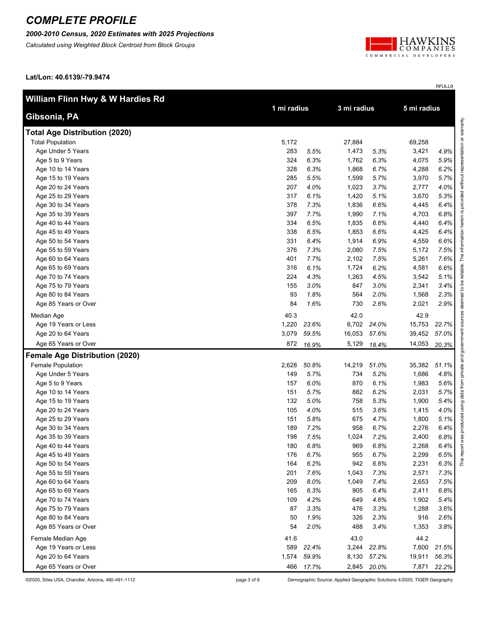#### *2000-2010 Census, 2020 Estimates with 2025 Projections*

*Calculated using Weighted Block Centroid from Block Groups*



RFULL9

**Lat/Lon: 40.6139/-79.9474**

| William Flinn Hwy & W Hardies Rd      |       |             | 3 mi radius |             |        |       |
|---------------------------------------|-------|-------------|-------------|-------------|--------|-------|
| Gibsonia, PA                          |       | 1 mi radius |             | 5 mi radius |        |       |
| <b>Total Age Distribution (2020)</b>  |       |             |             |             |        |       |
| <b>Total Population</b>               | 5,172 |             | 27,884      |             | 69,258 |       |
| Age Under 5 Years                     | 283   | 5.5%        | 1,473       | 5.3%        | 3,421  | 4.9%  |
| Age 5 to 9 Years                      | 324   | 6.3%        | 1,762       | 6.3%        | 4,075  | 5.9%  |
| Age 10 to 14 Years                    | 328   | 6.3%        | 1,868       | 6.7%        | 4,288  | 6.2%  |
| Age 15 to 19 Years                    | 285   | 5.5%        | 1,599       | 5.7%        | 3,970  | 5.7%  |
| Age 20 to 24 Years                    | 207   | 4.0%        | 1,023       | 3.7%        | 2,777  | 4.0%  |
| Age 25 to 29 Years                    | 317   | 6.1%        | 1,420       | 5.1%        | 3,670  | 5.3%  |
| Age 30 to 34 Years                    | 378   | 7.3%        | 1,836       | 6.6%        | 4,445  | 6.4%  |
| Age 35 to 39 Years                    | 397   | 7.7%        | 1,990       | 7.1%        | 4,703  | 6.8%  |
| Age 40 to 44 Years                    | 334   | 6.5%        | 1,835       | 6.6%        | 4,440  | 6.4%  |
| Age 45 to 49 Years                    | 338   | 6.5%        | 1,853       | 6.6%        | 4,425  | 6.4%  |
| Age 50 to 54 Years                    | 331   | 6.4%        | 1,914       | 6.9%        | 4,559  | 6.6%  |
| Age 55 to 59 Years                    | 376   | 7.3%        | 2,080       | 7.5%        | 5,172  | 7.5%  |
| Age 60 to 64 Years                    | 401   | 7.7%        | 2,102       | 7.5%        | 5,261  | 7.6%  |
| Age 65 to 69 Years                    | 316   | 6.1%        | 1,724       | 6.2%        | 4,581  | 6.6%  |
| Age 70 to 74 Years                    | 224   | 4.3%        | 1,263       | 4.5%        | 3,542  | 5.1%  |
| Age 75 to 79 Years                    | 155   | 3.0%        | 847         | 3.0%        | 2,341  | 3.4%  |
| Age 80 to 84 Years                    | 93    | 1.8%        | 564         | 2.0%        | 1,568  | 2.3%  |
| Age 85 Years or Over                  | 84    | 1.6%        | 730         | 2.6%        | 2,021  | 2.9%  |
| Median Age                            | 40.3  |             | 42.0        |             | 42.9   |       |
| Age 19 Years or Less                  | 1,220 | 23.6%       | 6,702       | 24.0%       | 15,753 | 22.7% |
| Age 20 to 64 Years                    | 3,079 | 59.5%       | 16,053      | 57.6%       | 39,452 | 57.0% |
| Age 65 Years or Over                  | 872   | 16.9%       | 5,129       | 18.4%       | 14,053 | 20.3% |
| <b>Female Age Distribution (2020)</b> |       |             |             |             |        |       |
| Female Population                     | 2,628 | 50.8%       | 14,219      | 51.0%       | 35,382 | 51.1% |
| Age Under 5 Years                     | 149   | 5.7%        | 734         | 5.2%        | 1,686  | 4.8%  |
| Age 5 to 9 Years                      | 157   | 6.0%        | 870         | 6.1%        | 1,983  | 5.6%  |
| Age 10 to 14 Years                    | 151   | 5.7%        | 882         | 6.2%        | 2,031  | 5.7%  |
| Age 15 to 19 Years                    | 132   | 5.0%        | 758         | 5.3%        | 1,900  | 5.4%  |
| Age 20 to 24 Years                    | 105   | 4.0%        | 515         | 3.6%        | 1,415  | 4.0%  |
| Age 25 to 29 Years                    | 151   | 5.8%        | 675         | 4.7%        | 1,800  | 5.1%  |
| Age 30 to 34 Years                    | 189   | 7.2%        | 958         | 6.7%        | 2,276  | 6.4%  |
| Age 35 to 39 Years                    | 198   | 7.5%        | 1,024       | 7.2%        | 2,400  | 6.8%  |
| Age 40 to 44 Years                    | 180   | 6.8%        | 969         | 6.8%        | 2,268  | 6.4%  |
| Age 45 to 49 Years                    | 176   | 6.7%        | 955         | 6.7%        | 2,299  | 6.5%  |
| Age 50 to 54 Years                    | 164   | 6.2%        | 942         | 6.6%        | 2,231  | 6.3%  |
| Age 55 to 59 Years                    | 201   | 7.6%        | 1,043       | 7.3%        | 2,571  | 7.3%  |
| Age 60 to 64 Years                    | 209   | 8.0%        | 1,049       | 7.4%        | 2,653  | 7.5%  |
| Age 65 to 69 Years                    | 165   | 6.3%        | 905         | 6.4%        | 2,411  | 6.8%  |
| Age 70 to 74 Years                    | 109   | 4.2%        | 649         | 4.6%        | 1,902  | 5.4%  |
| Age 75 to 79 Years                    | 87    | 3.3%        | 476         | 3.3%        | 1,288  | 3.6%  |
| Age 80 to 84 Years                    | 50    | 1.9%        | 326         | 2.3%        | 916    | 2.6%  |
| Age 85 Years or Over                  | 54    | 2.0%        | 488         | 3.4%        | 1,353  | 3.8%  |
| Female Median Age                     | 41.6  |             | 43.0        |             | 44.2   |       |
| Age 19 Years or Less                  | 589   | 22.4%       | 3,244       | 22.8%       | 7,600  | 21.5% |
| Age 20 to 64 Years                    | 1,574 | 59.9%       | 8,130       | 57.2%       | 19,911 | 56.3% |
| Age 65 Years or Over                  | 466   | 17.7%       |             | 2,845 20.0% | 7,871  | 22.2% |

©2020, Sites USA, Chandler, Arizona, 480-491-1112 page 3 of 9 Demographic Source: Applied Geographic Solutions 4/2020, TIGER Geography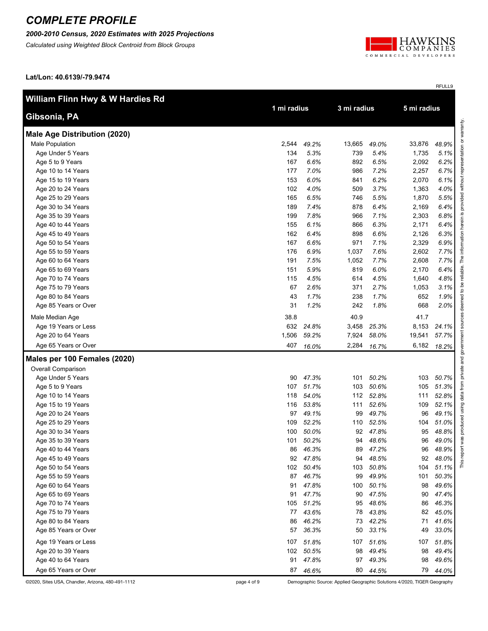#### *2000-2010 Census, 2020 Estimates with 2025 Projections*

*Calculated using Weighted Block Centroid from Block Groups*



RFULL9

**Lat/Lon: 40.6139/-79.9474**

| William Flinn Hwy & W Hardies Rd    |             |          |             |           | 5 mi radius |       |
|-------------------------------------|-------------|----------|-------------|-----------|-------------|-------|
| Gibsonia, PA                        | 1 mi radius |          | 3 mi radius |           |             |       |
| <b>Male Age Distribution (2020)</b> |             |          |             |           |             |       |
| Male Population                     | 2,544       | 49.2%    | 13,665      | 49.0%     | 33,876      | 48.9% |
| Age Under 5 Years                   | 134         | 5.3%     | 739         | 5.4%      | 1,735       | 5.1%  |
| Age 5 to 9 Years                    | 167         | 6.6%     | 892         | 6.5%      | 2,092       | 6.2%  |
| Age 10 to 14 Years                  | 177         | 7.0%     | 986         | 7.2%      | 2,257       | 6.7%  |
| Age 15 to 19 Years                  | 153         | 6.0%     | 841         | 6.2%      | 2,070       | 6.1%  |
| Age 20 to 24 Years                  | 102         | 4.0%     | 509         | 3.7%      | 1,363       | 4.0%  |
| Age 25 to 29 Years                  | 165         | 6.5%     | 746         | 5.5%      | 1,870       | 5.5%  |
| Age 30 to 34 Years                  | 189         | 7.4%     | 878         | 6.4%      | 2,169       | 6.4%  |
| Age 35 to 39 Years                  | 199         | 7.8%     | 966         | 7.1%      | 2,303       | 6.8%  |
| Age 40 to 44 Years                  | 155         | 6.1%     | 866         | 6.3%      | 2,171       | 6.4%  |
| Age 45 to 49 Years                  | 162         | 6.4%     | 898         | 6.6%      | 2,126       | 6.3%  |
| Age 50 to 54 Years                  | 167         | 6.6%     | 971         | 7.1%      | 2,329       | 6.9%  |
| Age 55 to 59 Years                  | 176         | 6.9%     | 1,037       | 7.6%      | 2,602       | 7.7%  |
| Age 60 to 64 Years                  | 191         | 7.5%     | 1,052       | 7.7%      | 2,608       | 7.7%  |
| Age 65 to 69 Years                  | 151         | 5.9%     | 819         | 6.0%      | 2,170       | 6.4%  |
| Age 70 to 74 Years                  | 115         | 4.5%     | 614         | 4.5%      | 1,640       | 4.8%  |
| Age 75 to 79 Years                  | 67          | 2.6%     | 371         | 2.7%      | 1,053       | 3.1%  |
| Age 80 to 84 Years                  | 43          | 1.7%     | 238         | 1.7%      | 652         | 1.9%  |
| Age 85 Years or Over                | 31          | 1.2%     | 242         | 1.8%      | 668         | 2.0%  |
| Male Median Age                     | 38.8        |          | 40.9        |           | 41.7        |       |
| Age 19 Years or Less                | 632         | 24.8%    | 3,458       | 25.3%     | 8,153       | 24.1% |
| Age 20 to 64 Years                  | 1,506       | 59.2%    | 7,924       | 58.0%     | 19,541      | 57.7% |
| Age 65 Years or Over                | 407         | 16.0%    | 2,284       | 16.7%     | 6,182       | 18.2% |
| Males per 100 Females (2020)        |             |          |             |           |             |       |
| Overall Comparison                  |             |          |             |           |             |       |
| Age Under 5 Years                   | 90          | 47.3%    | 101         | 50.2%     | 103         | 50.7% |
| Age 5 to 9 Years                    | 107         | 51.7%    | 103         | 50.6%     | 105         | 51.3% |
| Age 10 to 14 Years                  | 118         | 54.0%    | 112         | 52.8%     | 111         | 52.8% |
| Age 15 to 19 Years                  | 116         | 53.8%    | 111         | 52.6%     | 109         | 52.1% |
| Age 20 to 24 Years                  | 97          | 49.1%    | 99          | 49.7%     | 96          | 49.1% |
| Age 25 to 29 Years                  | 109         | 52.2%    | 110         | 52.5%     | 104         | 51.0% |
| Age 30 to 34 Years                  | 100         | 50.0%    | 92          | 47.8%     | 95          | 48.8% |
| Age 35 to 39 Years                  | 101         | 50.2%    | 94          | 48.6%     | 96          | 49.0% |
| Age 40 to 44 Years                  |             | 86 46.3% | 89          | 47.2%     | 96          | 48.9% |
| Age 45 to 49 Years                  |             | 92 47.8% | 94          | 48.5%     | 92          | 48.0% |
| Age 50 to 54 Years                  | 102         | 50.4%    | 103         | 50.8%     | 104         | 51.1% |
| Age 55 to 59 Years                  | 87          | 46.7%    | 99          | 49.9%     | 101         | 50.3% |
| Age 60 to 64 Years                  | 91          | 47.8%    | 100         | 50.1%     | 98          | 49.6% |
| Age 65 to 69 Years                  | 91          | 47.7%    | 90          | 47.5%     | 90          | 47.4% |
| Age 70 to 74 Years                  | 105         | 51.2%    | 95          | 48.6%     | 86          | 46.3% |
| Age 75 to 79 Years                  | 77          | 43.6%    | 78          | 43.8%     | 82          | 45.0% |
| Age 80 to 84 Years                  | 86          | 46.2%    | 73          | 42.2%     | 71          | 41.6% |
| Age 85 Years or Over                | 57          | 36.3%    | 50          | 33.1%     | 49          | 33.0% |
| Age 19 Years or Less                | 107         | 51.8%    |             | 107 51.6% | 107         | 51.8% |
| Age 20 to 39 Years                  | 102         | 50.5%    | 98          | 49.4%     | 98          | 49.4% |
| Age 40 to 64 Years                  | 91          | 47.8%    | 97          | 49.3%     | 98          | 49.6% |
| Age 65 Years or Over                | 87          | 46.6%    |             | 80 44.5%  | 79          | 44.0% |

©2020, Sites USA, Chandler, Arizona, 480-491-1112 page 4 of 9 Demographic Source: Applied Geographic Solutions 4/2020, TIGER Geography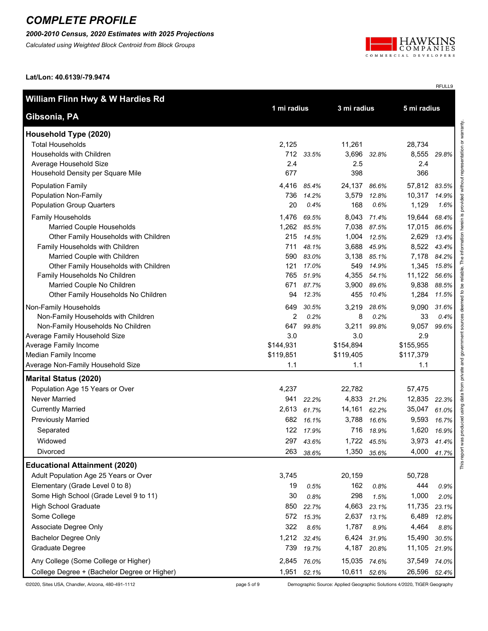#### *2000-2010 Census, 2020 Estimates with 2025 Projections*

*Calculated using Weighted Block Centroid from Block Groups*



RFULL9

**Lat/Lon: 40.6139/-79.9474**

| William Flinn Hwy & W Hardies Rd                                   |           |                | 3 mi radius  |                |                |                |
|--------------------------------------------------------------------|-----------|----------------|--------------|----------------|----------------|----------------|
| Gibsonia, PA                                                       |           | 1 mi radius    |              | 5 mi radius    |                |                |
| Household Type (2020)                                              |           |                |              |                |                |                |
| <b>Total Households</b>                                            | 2,125     |                | 11,261       |                | 28,734         |                |
| Households with Children                                           |           | 712 33.5%      | 3,696        | 32.8%          | 8,555          | 29.8%          |
| Average Household Size                                             | 2.4       |                | 2.5          |                | 2.4            |                |
| Household Density per Square Mile                                  | 677       |                | 398          |                | 366            |                |
| <b>Population Family</b>                                           | 4,416     | 85.4%          | 24,137       | 86.6%          | 57,812         | 83.5%          |
| Population Non-Family                                              | 736       | 14.2%          | 3,579        | 12.8%          | 10,317         | 14.9%          |
| <b>Population Group Quarters</b>                                   | 20        | 0.4%           | 168          | 0.6%           | 1,129          | 1.6%           |
| Family Households                                                  | 1,476     | 69.5%          | 8,043        | 71.4%          | 19,644         | 68.4%          |
| Married Couple Households                                          |           | 1,262 85.5%    | 7,038        | 87.5%          | 17,015         | 86.6%          |
| Other Family Households with Children                              | 215       | 14.5%          | 1,004        | 12.5%          | 2,629          | 13.4%          |
| Family Households with Children                                    | 711       | 48.1%          | 3,688        | 45.9%          | 8,522          | 43.4%          |
| Married Couple with Children                                       | 590       | 83.0%          | 3,138        | 85.1%          | 7,178          | 84.2%          |
| Other Family Households with Children                              | 121       | 17.0%          | 549          | 14.9%          | 1,345          | 15.8%          |
| Family Households No Children                                      | 765       | 51.9%          | 4,355        | 54.1%          | 11,122         | 56.6%          |
| Married Couple No Children<br>Other Family Households No Children  | 671<br>94 | 87.7%<br>12.3% | 3,900<br>455 | 89.6%<br>10.4% | 9,838<br>1,284 | 88.5%<br>11.5% |
|                                                                    |           |                |              |                |                |                |
| Non-Family Households                                              | 649       | 30.5%          | 3,219        | 28.6%          | 9,090          | 31.6%          |
| Non-Family Households with Children                                | 2<br>647  | 0.2%           | 8            | 0.2%           | 33             | 0.4%           |
| Non-Family Households No Children<br>Average Family Household Size | 3.0       | 99.8%          | 3,211<br>3.0 | 99.8%          | 9,057<br>2.9   | 99.6%          |
| Average Family Income                                              | \$144,931 |                | \$154,894    |                | \$155,955      |                |
| Median Family Income                                               | \$119,851 |                | \$119,405    |                | \$117,379      |                |
| Average Non-Family Household Size                                  | 1.1       |                | 1.1          |                | 1.1            |                |
| <b>Marital Status (2020)</b>                                       |           |                |              |                |                |                |
| Population Age 15 Years or Over                                    | 4,237     |                | 22,782       |                | 57,475         |                |
| Never Married                                                      | 941       | 22.2%          | 4,833        | 21.2%          | 12,835         | 22.3%          |
| <b>Currently Married</b>                                           | 2,613     | 61.7%          | 14,161       | 62.2%          | 35,047         | 61.0%          |
| <b>Previously Married</b>                                          |           | 682 16.1%      | 3,788        | 16.6%          | 9,593          | 16.7%          |
| Separated                                                          | 122       | 17.9%          | 716          | 18.9%          | 1,620          | 16.9%          |
| Widowed                                                            |           | 297 43.6%      |              | 1,722 45.5%    | 3,973          | 41.4%          |
| Divorced                                                           | 263       | 38.6%          | 1,350        | 35.6%          | 4,000          | 41.7%          |
| <b>Educational Attainment (2020)</b>                               |           |                |              |                |                |                |
| Adult Population Age 25 Years or Over                              | 3,745     |                | 20,159       |                | 50,728         |                |
| Elementary (Grade Level 0 to 8)                                    | 19        | 0.5%           | 162          | 0.8%           | 444            | 0.9%           |
| Some High School (Grade Level 9 to 11)                             | 30        | 0.8%           | 298          | 1.5%           | 1,000          | 2.0%           |
| <b>High School Graduate</b>                                        | 850       | 22.7%          | 4,663        | 23.1%          | 11,735         | 23.1%          |
| Some College                                                       | 572       | 15.3%          | 2,637        | 13.1%          | 6,489          | 12.8%          |
| Associate Degree Only                                              | 322       | 8.6%           | 1,787        | 8.9%           | 4,464          | 8.8%           |
| Bachelor Degree Only                                               | 1,212     | 32.4%          | 6,424        | 31.9%          | 15,490         | 30.5%          |
| Graduate Degree                                                    | 739       | 19.7%          | 4,187        | 20.8%          | 11,105         | 21.9%          |
| Any College (Some College or Higher)                               | 2,845     | 76.0%          | 15,035 74.6% |                | 37,549         | 74.0%          |
| College Degree + (Bachelor Degree or Higher)                       | 1,951     | 52.1%          | 10,611       | 52.6%          | 26,596         | 52.4%          |

©2020, Sites USA, Chandler, Arizona, 480-491-1112 page 5 of 9 Demographic Source: Applied Geographic Solutions 4/2020, TIGER Geography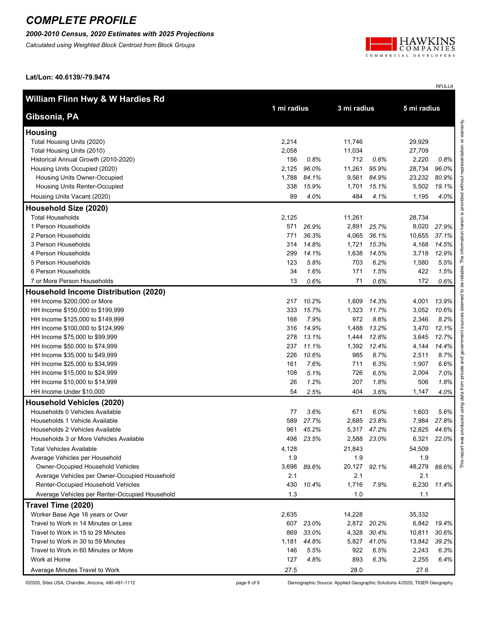#### *2000-2010 Census, 2020 Estimates with 2025 Projections*

*Calculated using Weighted Block Centroid from Block Groups*



RFULL9

**Lat/Lon: 40.6139/-79.9474**

| William Flinn Hwy & W Hardies Rd               |       |             |              |                            |        |       |  |
|------------------------------------------------|-------|-------------|--------------|----------------------------|--------|-------|--|
| Gibsonia, PA                                   |       | 1 mi radius |              | 5 mi radius<br>3 mi radius |        |       |  |
| <b>Housing</b>                                 |       |             |              |                            |        |       |  |
| Total Housing Units (2020)                     | 2,214 |             | 11,746       |                            | 29,929 |       |  |
| Total Housing Units (2010)                     | 2,058 |             | 11,034       |                            | 27,709 |       |  |
| Historical Annual Growth (2010-2020)           | 156   | 0.8%        | 712          | 0.6%                       | 2,220  | 0.8%  |  |
| Housing Units Occupied (2020)                  | 2,125 | 96.0%       | 11,261       | 95.9%                      | 28,734 | 96.0% |  |
| Housing Units Owner-Occupied                   | 1,788 | 84.1%       | 9,561        | 84.9%                      | 23,232 | 80.9% |  |
| Housing Units Renter-Occupied                  | 338   | 15.9%       | 1,701        | 15.1%                      | 5,502  | 19.1% |  |
| Housing Units Vacant (2020)                    | 89    | 4.0%        | 484          | 4.1%                       | 1,195  | 4.0%  |  |
| Household Size (2020)                          |       |             |              |                            |        |       |  |
| <b>Total Households</b>                        | 2,125 |             | 11,261       |                            | 28,734 |       |  |
| 1 Person Households                            | 571   | 26.9%       | 2,891        | 25.7%                      | 8,020  | 27.9% |  |
| 2 Person Households                            | 771   | 36.3%       | 4,065        | 36.1%                      | 10,655 | 37.1% |  |
| 3 Person Households                            | 314   | 14.8%       | 1,721        | 15.3%                      | 4,168  | 14.5% |  |
| 4 Person Households                            | 299   | 14.1%       | 1,638        | 14.5%                      | 3,718  | 12.9% |  |
| 5 Person Households                            | 123   | 5.8%        | 703          | 6.2%                       | 1,580  | 5.5%  |  |
| 6 Person Households                            | 34    | 1.6%        | 171          | 1.5%                       | 422    | 1.5%  |  |
| 7 or More Person Households                    | 13    | 0.6%        | 71           | 0.6%                       | 172    | 0.6%  |  |
| <b>Household Income Distribution (2020)</b>    |       |             |              |                            |        |       |  |
| HH Income \$200,000 or More                    | 217   | 10.2%       | 1,609        | 14.3%                      | 4,001  | 13.9% |  |
| HH Income \$150,000 to \$199,999               | 333   | 15.7%       | 1,323        | 11.7%                      | 3,052  | 10.6% |  |
| HH Income \$125,000 to \$149,999               | 168   | 7.9%        | 972          | 8.6%                       | 2,346  | 8.2%  |  |
| HH Income \$100,000 to \$124,999               | 316   | 14.9%       | 1,488        | 13.2%                      | 3,470  | 12.1% |  |
| HH Income \$75,000 to \$99,999                 | 278   | 13.1%       | 1,444        | 12.8%                      | 3,645  | 12.7% |  |
| HH Income \$50,000 to \$74,999                 | 237   | 11.1%       | 1,392        | 12.4%                      | 4,144  | 14.4% |  |
| HH Income \$35,000 to \$49,999                 | 226   | 10.6%       | 985          | 8.7%                       | 2,511  | 8.7%  |  |
| HH Income \$25,000 to \$34,999                 | 161   | 7.6%        | 711          | 6.3%                       | 1,907  | 6.6%  |  |
| HH Income \$15,000 to \$24,999                 | 108   | 5.1%        | 726          | 6.5%                       | 2,004  | 7.0%  |  |
| HH Income \$10,000 to \$14,999                 | 26    | 1.2%        | 207          | 1.8%                       | 506    | 1.8%  |  |
| HH Income Under \$10,000                       | 54    | 2.5%        | 404          | 3.6%                       | 1,147  | 4.0%  |  |
| <b>Household Vehicles (2020)</b>               |       |             |              |                            |        |       |  |
| Households 0 Vehicles Available                | 77    | 3.6%        | 671          | 6.0%                       | 1,603  | 5.6%  |  |
| Households 1 Vehicle Available                 | 589   | 27.7%       | 2,685        | 23.8%                      | 7,984  | 27.8% |  |
| Households 2 Vehicles Available                | 961   | 45.2%       | 5,317        | 47.2%                      | 12,825 | 44.6% |  |
| Households 3 or More Vehicles Available        | 498   | 23.5%       | 2,588        | 23.0%                      | 6,321  | 22.0% |  |
| <b>Total Vehicles Available</b>                | 4,128 |             | 21,843       |                            | 54,509 |       |  |
| Average Vehicles per Household                 | 1.9   |             | 1.9          |                            | 1.9    |       |  |
| <b>Owner-Occupied Household Vehicles</b>       | 3,698 | 89.6%       | 20,127 92.1% |                            | 48,279 | 88.6% |  |
| Average Vehicles per Owner-Occupied Household  | 2.1   |             | 2.1          |                            | 2.1    |       |  |
| Renter-Occupied Household Vehicles             | 430   | 10.4%       | 1,716        | 7.9%                       | 6,230  | 11.4% |  |
| Average Vehicles per Renter-Occupied Household | 1.3   |             | 1.0          |                            | 1.1    |       |  |
| Travel Time (2020)                             |       |             |              |                            |        |       |  |
| Worker Base Age 16 years or Over               | 2,635 |             | 14,228       |                            | 35,332 |       |  |
| Travel to Work in 14 Minutes or Less           | 607   | 23.0%       |              | 2,872 20.2%                | 6,842  | 19.4% |  |
| Travel to Work in 15 to 29 Minutes             | 869   | 33.0%       | 4,328        | 30.4%                      | 10,811 | 30.6% |  |
| Travel to Work in 30 to 59 Minutes             | 1,181 | 44.8%       | 5,827        | 41.0%                      | 13,842 | 39.2% |  |
| Travel to Work in 60 Minutes or More           | 146   | 5.5%        | 922          | 6.5%                       | 2,243  | 6.3%  |  |
| Work at Home                                   | 127   | 4.8%        | 893          | 6.3%                       | 2,255  | 6.4%  |  |
| Average Minutes Travel to Work                 | 27.5  |             | 28.0         |                            | 27.6   |       |  |

©2020, Sites USA, Chandler, Arizona, 480-491-1112 page 6 of 9 Demographic Source: Applied Geographic Solutions 4/2020, TIGER Geography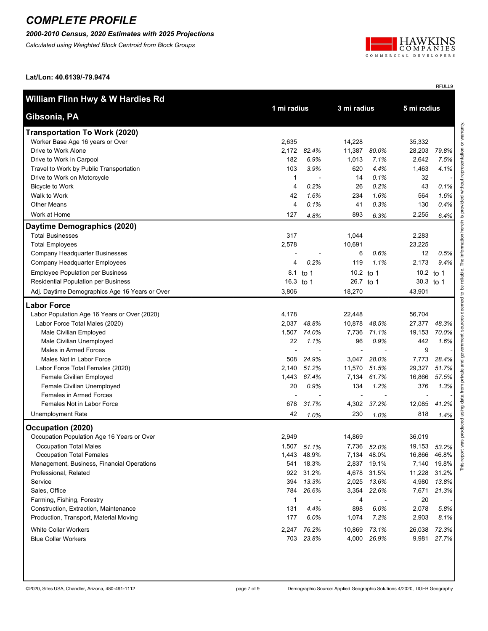#### *2000-2010 Census, 2020 Estimates with 2025 Projections*

*Calculated using Weighted Block Centroid from Block Groups*



RFULL9

**Lat/Lon: 40.6139/-79.9474**

| William Flinn Hwy & W Hardies Rd               |             |             |             |             |             |         |  |
|------------------------------------------------|-------------|-------------|-------------|-------------|-------------|---------|--|
| Gibsonia, PA                                   | 1 mi radius |             | 3 mi radius |             | 5 mi radius |         |  |
| <b>Transportation To Work (2020)</b>           |             |             |             |             |             |         |  |
| Worker Base Age 16 years or Over               | 2,635       |             | 14,228      |             | 35,332      |         |  |
| Drive to Work Alone                            | 2,172       | 82.4%       | 11,387      | 80.0%       | 28,203      | 79.8%   |  |
| Drive to Work in Carpool                       | 182         | 6.9%        | 1,013       | 7.1%        | 2,642       | 7.5%    |  |
| Travel to Work by Public Transportation        | 103         | 3.9%        | 620         | 4.4%        | 1,463       | 4.1%    |  |
| Drive to Work on Motorcycle                    | 1           |             | 14          | 0.1%        | 32          |         |  |
| <b>Bicycle to Work</b>                         | 4           | 0.2%        | 26          | 0.2%        | 43          | 0.1%    |  |
| Walk to Work                                   | 42          | 1.6%        | 234         | 1.6%        | 564         | 1.6%    |  |
| <b>Other Means</b>                             | 4           | 0.1%        | 41          | 0.3%        | 130         | 0.4%    |  |
| Work at Home                                   | 127         | 4.8%        | 893         | 6.3%        | 2,255       | 6.4%    |  |
| Daytime Demographics (2020)                    |             |             |             |             |             |         |  |
| <b>Total Businesses</b>                        | 317         |             | 1,044       |             | 2,283       |         |  |
| <b>Total Employees</b>                         | 2,578       |             | 10,691      |             | 23,225      |         |  |
| Company Headquarter Businesses                 |             |             | 6           | 0.6%        | 12          | 0.5%    |  |
| Company Headquarter Employees                  | 4           | 0.2%        | 119         | 1.1%        | 2,173       | $9.4\%$ |  |
| <b>Employee Population per Business</b>        | 8.1         | to 1        |             | 10.2 to 1   | 10.2 to 1   |         |  |
| Residential Population per Business            | 16.3 to 1   |             |             | 26.7 to 1   | 30.3 to 1   |         |  |
| Adj. Daytime Demographics Age 16 Years or Over | 3,806       |             | 18,270      |             | 43,901      |         |  |
| <b>Labor Force</b>                             |             |             |             |             |             |         |  |
| Labor Population Age 16 Years or Over (2020)   | 4,178       |             | 22,448      |             | 56,704      |         |  |
| Labor Force Total Males (2020)                 | 2,037       | 48.8%       | 10,878      | 48.5%       | 27,377      | 48.3%   |  |
| Male Civilian Employed                         | 1,507       | 74.0%       | 7,736       | 71.1%       | 19,153      | 70.0%   |  |
| Male Civilian Unemployed                       | 22          | 1.1%        | 96          | 0.9%        | 442         | 1.6%    |  |
| Males in Armed Forces                          |             |             |             |             | 9           |         |  |
| Males Not in Labor Force                       | 508         | 24.9%       | 3,047       | 28.0%       | 7,773       | 28.4%   |  |
| Labor Force Total Females (2020)               | 2,140       | 51.2%       | 11,570      | 51.5%       | 29,327      | 51.7%   |  |
| Female Civilian Employed                       | 1,443       | 67.4%       | 7,134       | 61.7%       | 16,866      | 57.5%   |  |
| Female Civilian Unemployed                     | 20          | 0.9%        | 134         | 1.2%        | 376         | 1.3%    |  |
| Females in Armed Forces                        |             |             |             |             |             |         |  |
| Females Not in Labor Force                     | 678         | 31.7%       |             | 4,302 37.2% | 12,085      | 41.2%   |  |
| Unemployment Rate                              | 42          | 1.0%        | 230         | 1.0%        | 818         | 1.4%    |  |
| Occupation (2020)                              |             |             |             |             |             |         |  |
| Occupation Population Age 16 Years or Over     | 2,949       |             | 14,869      |             | 36,019      |         |  |
| <b>Occupation Total Males</b>                  |             | 1,507 51.1% | 7,736       | 52.0%       | 19,153      | 53.2%   |  |
| <b>Occupation Total Females</b>                |             | 1,443 48.9% |             | 7,134 48.0% | 16,866      | 46.8%   |  |
| Management, Business, Financial Operations     |             | 541 18.3%   | 2,837       | 19.1%       | 7,140       | 19.8%   |  |
| Professional, Related                          |             | 922 31.2%   | 4,678       | 31.5%       | 11,228      | 31.2%   |  |
| Service                                        | 394         | 13.3%       | 2,025       | 13.6%       | 4,980       | 13.8%   |  |
| Sales, Office                                  | 784         | 26.6%       | 3,354       | 22.6%       | 7,671       | 21.3%   |  |
| Farming, Fishing, Forestry                     | 1           |             | 4           |             | 20          |         |  |
| Construction, Extraction, Maintenance          | 131         | 4.4%        | 898         | 6.0%        | 2,078       | 5.8%    |  |
| Production, Transport, Material Moving         | 177         | 6.0%        | 1,074       | 7.2%        | 2,903       | 8.1%    |  |
| <b>White Collar Workers</b>                    | 2,247       | 76.2%       | 10,869      | 73.1%       | 26,038      | 72.3%   |  |
| <b>Blue Collar Workers</b>                     |             | 703 23.8%   | 4,000       | 26.9%       | 9,981       | 27.7%   |  |
|                                                |             |             |             |             |             |         |  |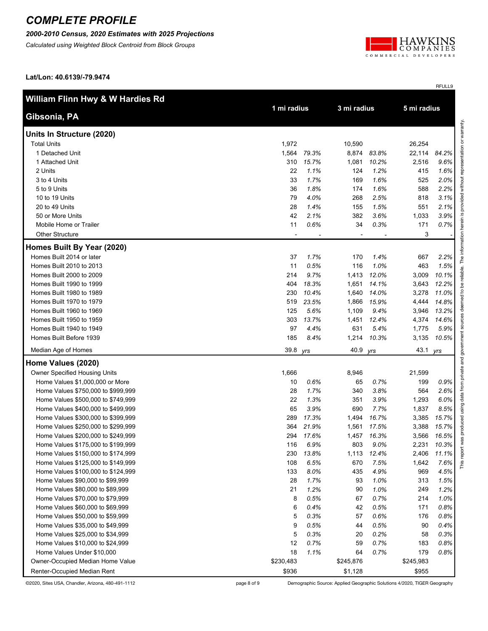#### *2000-2010 Census, 2020 Estimates with 2025 Projections*

*Calculated using Weighted Block Centroid from Block Groups*



RFULL9

**Lat/Lon: 40.6139/-79.9474**

| William Flinn Hwy & W Hardies Rd   | 3 mi radius    |             |                          |       |             |       |  |
|------------------------------------|----------------|-------------|--------------------------|-------|-------------|-------|--|
| Gibsonia, PA                       |                | 1 mi radius |                          |       | 5 mi radius |       |  |
| Units In Structure (2020)          |                |             |                          |       |             |       |  |
| <b>Total Units</b>                 | 1,972          |             | 10,590                   |       | 26,254      |       |  |
| 1 Detached Unit                    | 1,564          | 79.3%       | 8,874                    | 83.8% | 22,114      | 84.2% |  |
| 1 Attached Unit                    | 310            | 15.7%       | 1,081                    | 10.2% | 2,516       | 9.6%  |  |
| 2 Units                            | 22             | 1.1%        | 124                      | 1.2%  | 415         | 1.6%  |  |
| 3 to 4 Units                       | 33             | 1.7%        | 169                      | 1.6%  | 525         | 2.0%  |  |
| 5 to 9 Units                       | 36             | 1.8%        | 174                      | 1.6%  | 588         | 2.2%  |  |
| 10 to 19 Units                     | 79             | 4.0%        | 268                      | 2.5%  | 818         | 3.1%  |  |
| 20 to 49 Units                     | 28             | 1.4%        | 155                      | 1.5%  | 551         | 2.1%  |  |
| 50 or More Units                   | 42             | 2.1%        | 382                      | 3.6%  | 1,033       | 3.9%  |  |
| Mobile Home or Trailer             | 11             | 0.6%        | 34                       | 0.3%  | 171         | 0.7%  |  |
| <b>Other Structure</b>             | $\blacksquare$ |             | $\overline{\phantom{a}}$ |       | 3           |       |  |
| Homes Built By Year (2020)         |                |             |                          |       |             |       |  |
| Homes Built 2014 or later          | 37             | 1.7%        | 170                      | 1.4%  | 667         | 2.2%  |  |
| Homes Built 2010 to 2013           | 11             | 0.5%        | 116                      | 1.0%  | 463         | 1.5%  |  |
| Homes Built 2000 to 2009           | 214            | 9.7%        | 1,413                    | 12.0% | 3,009       | 10.1% |  |
| Homes Built 1990 to 1999           | 404            | 18.3%       | 1,651                    | 14.1% | 3,643       | 12.2% |  |
| Homes Built 1980 to 1989           | 230            | 10.4%       | 1,640                    | 14.0% | 3,278       | 11.0% |  |
| Homes Built 1970 to 1979           | 519            | 23.5%       | 1,866                    | 15.9% | 4,444       | 14.8% |  |
| Homes Built 1960 to 1969           | 125            | 5.6%        | 1,109                    | 9.4%  | 3,946       | 13.2% |  |
| Homes Built 1950 to 1959           | 303            | 13.7%       | 1,451                    | 12.4% | 4,374       | 14.6% |  |
| Homes Built 1940 to 1949           | 97             | 4.4%        | 631                      | 5.4%  | 1,775       | 5.9%  |  |
| Homes Built Before 1939            | 185            | 8.4%        | 1,214                    | 10.3% | 3,135       | 10.5% |  |
| Median Age of Homes                | 39.8 yrs       |             | 40.9                     | yrs   | 43.1 yrs    |       |  |
| Home Values (2020)                 |                |             |                          |       |             |       |  |
| Owner Specified Housing Units      | 1,666          |             | 8,946                    |       | 21,599      |       |  |
| Home Values \$1,000,000 or More    | 10             | 0.6%        | 65                       | 0.7%  | 199         | 0.9%  |  |
| Home Values \$750,000 to \$999,999 | 28             | 1.7%        | 340                      | 3.8%  | 564         | 2.6%  |  |
| Home Values \$500,000 to \$749,999 | 22             | 1.3%        | 351                      | 3.9%  | 1,293       | 6.0%  |  |
| Home Values \$400,000 to \$499,999 | 65             | 3.9%        | 690                      | 7.7%  | 1,837       | 8.5%  |  |
| Home Values \$300,000 to \$399,999 | 289            | 17.3%       | 1,494                    | 16.7% | 3,385       | 15.7% |  |
| Home Values \$250,000 to \$299,999 | 364            | 21.9%       | 1,561                    | 17.5% | 3,388       | 15.7% |  |
| Home Values \$200,000 to \$249,999 | 294            | 17.6%       | 1,457                    | 16.3% | 3,566       | 16.5% |  |
| Home Values \$175,000 to \$199,999 | 116            | 6.9%        | 803                      | 9.0%  | 2,231       | 10.3% |  |
| Home Values \$150,000 to \$174,999 | 230            | 13.8%       | 1,113                    | 12.4% | 2,406       | 11.1% |  |
| Home Values \$125,000 to \$149,999 | 108            | 6.5%        | 670                      | 7.5%  | 1,642       | 7.6%  |  |
| Home Values \$100,000 to \$124,999 | 133            | 8.0%        | 435                      | 4.9%  | 969         | 4.5%  |  |
| Home Values \$90,000 to \$99,999   | 28             | 1.7%        | 93                       | 1.0%  | 313         | 1.5%  |  |
| Home Values \$80,000 to \$89,999   | 21             | 1.2%        | 90                       | 1.0%  | 249         | 1.2%  |  |
| Home Values \$70,000 to \$79,999   | 8              | 0.5%        | 67                       | 0.7%  | 214         | 1.0%  |  |
| Home Values \$60,000 to \$69,999   | 6              | 0.4%        | 42                       | 0.5%  | 171         | 0.8%  |  |
| Home Values \$50,000 to \$59,999   | 5              | 0.3%        | 57                       | 0.6%  | 176         | 0.8%  |  |
| Home Values \$35,000 to \$49,999   | 9              | 0.5%        | 44                       | 0.5%  | 90          | 0.4%  |  |
| Home Values \$25,000 to \$34,999   | 5              | 0.3%        | 20                       | 0.2%  | 58          | 0.3%  |  |
| Home Values \$10,000 to \$24,999   | 12             | 0.7%        | 59                       | 0.7%  | 183         | 0.8%  |  |
| Home Values Under \$10,000         | 18             | 1.1%        | 64                       | 0.7%  | 179         | 0.8%  |  |
| Owner-Occupied Median Home Value   | \$230,483      |             | \$245,876                |       | \$245,983   |       |  |
| Renter-Occupied Median Rent        | \$936          |             | \$1,128                  |       | \$955       |       |  |

©2020, Sites USA, Chandler, Arizona, 480-491-1112 page 8 of 9 Demographic Source: Applied Geographic Solutions 4/2020, TIGER Geography